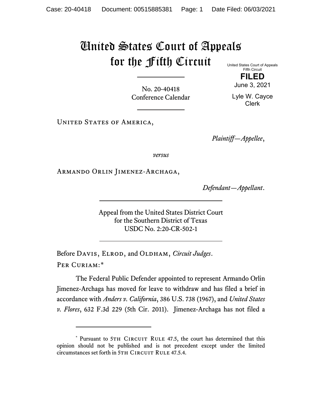## United States Court of Appeals for the Fifth Circuit

United States Court of Appeals Fifth Circuit

No. 20-40418 Conference Calendar

**FILED** June 3, 2021

Lyle W. Cayce Clerk

UNITED STATES OF AMERICA,

*Plaintiff—Appellee*,

*versus*

Armando Orlin Jimenez-Archaga,

*Defendant—Appellant*.

Appeal from the United States District Court for the Southern District of Texas USDC No. 2:20-CR-502-1

Before DAVIS, ELROD, and OLDHAM, *Circuit Judges*. Per Curiam:[\\*](#page-0-0)

The Federal Public Defender appointed to represent Armando Orlin Jimenez-Archaga has moved for leave to withdraw and has filed a brief in accordance with *Anders v. California*, 386 U.S. 738 (1967), and *United States v. Flores*, 632 F.3d 229 (5th Cir. 2011). Jimenez-Archaga has not filed a

<span id="page-0-0"></span><sup>\*</sup> Pursuant to 5TH CIRCUIT RULE 47.5, the court has determined that this opinion should not be published and is not precedent except under the limited circumstances set forth in 5TH CIRCUIT RULE 47.5.4.